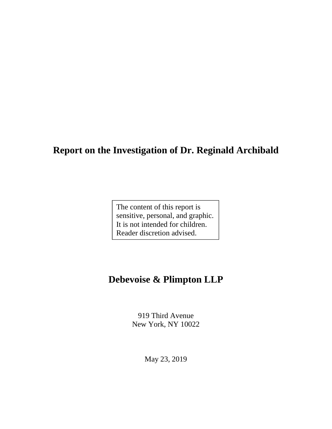# **Report on the Investigation of Dr. Reginald Archibald**

The content of this report is sensitive, personal, and graphic. It is not intended for children. Reader discretion advised.

# **Debevoise & Plimpton LLP**

919 Third Avenue New York, NY 10022

May 23, 2019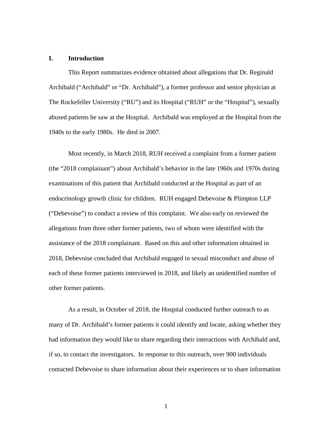## **I. Introduction**

This Report summarizes evidence obtained about allegations that Dr. Reginald Archibald ("Archibald" or "Dr. Archibald"), a former professor and senior physician at The Rockefeller University ("RU") and its Hospital ("RUH" or the "Hospital"), sexually abused patients he saw at the Hospital. Archibald was employed at the Hospital from the 1940s to the early 1980s. He died in 2007.

Most recently, in March 2018, RUH received a complaint from a former patient (the "2018 complainant") about Archibald's behavior in the late 1960s and 1970s during examinations of this patient that Archibald conducted at the Hospital as part of an endocrinology growth clinic for children. RUH engaged Debevoise & Plimpton LLP ("Debevoise") to conduct a review of this complaint. We also early on reviewed the allegations from three other former patients, two of whom were identified with the assistance of the 2018 complainant. Based on this and other information obtained in 2018, Debevoise concluded that Archibald engaged in sexual misconduct and abuse of each of these former patients interviewed in 2018, and likely an unidentified number of other former patients.

As a result, in October of 2018, the Hospital conducted further outreach to as many of Dr. Archibald's former patients it could identify and locate, asking whether they had information they would like to share regarding their interactions with Archibald and, if so, to contact the investigators. In response to this outreach, over 900 individuals contacted Debevoise to share information about their experiences or to share information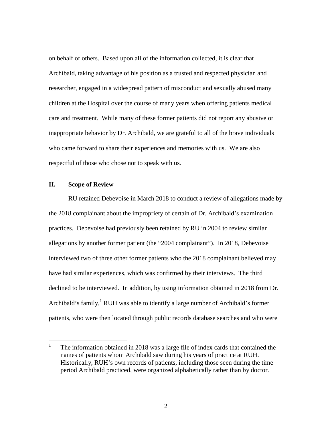on behalf of others. Based upon all of the information collected, it is clear that Archibald, taking advantage of his position as a trusted and respected physician and researcher, engaged in a widespread pattern of misconduct and sexually abused many children at the Hospital over the course of many years when offering patients medical care and treatment. While many of these former patients did not report any abusive or inappropriate behavior by Dr. Archibald, we are grateful to all of the brave individuals who came forward to share their experiences and memories with us. We are also respectful of those who chose not to speak with us.

# **II. Scope of Review**

RU retained Debevoise in March 2018 to conduct a review of allegations made by the 2018 complainant about the impropriety of certain of Dr. Archibald's examination practices. Debevoise had previously been retained by RU in 2004 to review similar allegations by another former patient (the "2004 complainant"). In 2018, Debevoise interviewed two of three other former patients who the 2018 complainant believed may have had similar experiences, which was confirmed by their interviews. The third declined to be interviewed. In addition, by using information obtained in 2018 from Dr. Archibald's family,<sup>1</sup> RUH was able to identify a large number of Archibald's former patients, who were then located through public records database searches and who were

<sup>1</sup> The information obtained in 2018 was a large file of index cards that contained the names of patients whom Archibald saw during his years of practice at RUH. Historically, RUH's own records of patients, including those seen during the time period Archibald practiced, were organized alphabetically rather than by doctor.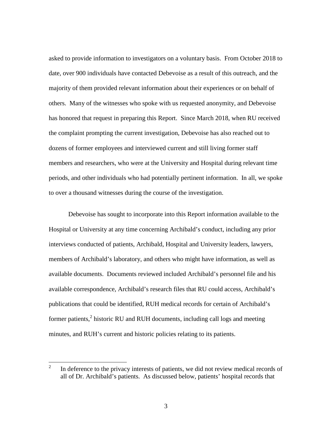asked to provide information to investigators on a voluntary basis. From October 2018 to date, over 900 individuals have contacted Debevoise as a result of this outreach, and the majority of them provided relevant information about their experiences or on behalf of others. Many of the witnesses who spoke with us requested anonymity, and Debevoise has honored that request in preparing this Report. Since March 2018, when RU received the complaint prompting the current investigation, Debevoise has also reached out to dozens of former employees and interviewed current and still living former staff members and researchers, who were at the University and Hospital during relevant time periods, and other individuals who had potentially pertinent information. In all, we spoke to over a thousand witnesses during the course of the investigation.

Debevoise has sought to incorporate into this Report information available to the Hospital or University at any time concerning Archibald's conduct, including any prior interviews conducted of patients, Archibald, Hospital and University leaders, lawyers, members of Archibald's laboratory, and others who might have information, as well as available documents. Documents reviewed included Archibald's personnel file and his available correspondence, Archibald's research files that RU could access, Archibald's publications that could be identified, RUH medical records for certain of Archibald's former patients,<sup>2</sup> historic RU and RUH documents, including call logs and meeting minutes, and RUH's current and historic policies relating to its patients.

<sup>2</sup> In deference to the privacy interests of patients, we did not review medical records of all of Dr. Archibald's patients. As discussed below, patients' hospital records that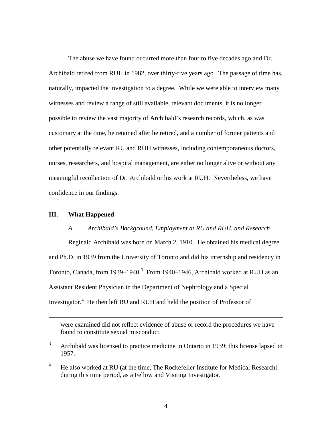The abuse we have found occurred more than four to five decades ago and Dr. Archibald retired from RUH in 1982, over thirty-five years ago. The passage of time has, naturally, impacted the investigation to a degree. While we were able to interview many witnesses and review a range of still available, relevant documents, it is no longer possible to review the vast majority of Archibald's research records, which, as was customary at the time, he retained after he retired, and a number of former patients and other potentially relevant RU and RUH witnesses, including contemporaneous doctors, nurses, researchers, and hospital management, are either no longer alive or without any meaningful recollection of Dr. Archibald or his work at RUH. Nevertheless, we have confidence in our findings.

# **III. What Happened**

## *A. Archibald's Background, Employment at RU and RUH, and Research*

Reginald Archibald was born on March 2, 1910. He obtained his medical degree and Ph.D. in 1939 from the University of Toronto and did his internship and residency in Toronto, Canada, from 1939–1940.<sup>3</sup> From 1940–1946, Archibald worked at RUH as an Assistant Resident Physician in the Department of Nephrology and a Special Investigator.<sup>4</sup> He then left RU and RUH and held the position of Professor of

were examined did not reflect evidence of abuse or record the procedures we have found to constitute sexual misconduct.

<sup>&</sup>lt;sup>3</sup> Archibald was licensed to practice medicine in Ontario in 1939; this license lapsed in 1957.

<sup>&</sup>lt;sup>4</sup> He also worked at RU (at the time, The Rockefeller Institute for Medical Research) during this time period, as a Fellow and Visiting Investigator.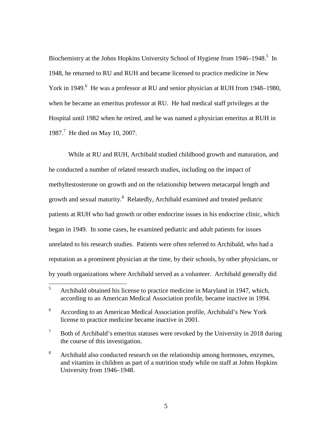Biochemistry at the Johns Hopkins University School of Hygiene from 1946–1948.<sup>5</sup> In 1948, he returned to RU and RUH and became licensed to practice medicine in New York in 1949.<sup>6</sup> He was a professor at RU and senior physician at RUH from 1948–1980, when he became an emeritus professor at RU. He had medical staff privileges at the Hospital until 1982 when he retired, and he was named a physician emeritus at RUH in 1987.<sup>7</sup> He died on May 10, 2007.

While at RU and RUH, Archibald studied childhood growth and maturation, and he conducted a number of related research studies, including on the impact of methyltestosterone on growth and on the relationship between metacarpal length and growth and sexual maturity.<sup>8</sup> Relatedly, Archibald examined and treated pediatric patients at RUH who had growth or other endocrine issues in his endocrine clinic, which began in 1949. In some cases, he examined pediatric and adult patients for issues unrelated to his research studies. Patients were often referred to Archibald, who had a reputation as a prominent physician at the time, by their schools, by other physicians, or by youth organizations where Archibald served as a volunteer. Archibald generally did

<sup>&</sup>lt;sup>5</sup> Archibald obtained his license to practice medicine in Maryland in 1947, which, according to an American Medical Association profile, became inactive in 1994.

<sup>6</sup> According to an American Medical Association profile, Archibald's New York license to practice medicine became inactive in 2001.

 $7$  Both of Archibald's emeritus statuses were revoked by the University in 2018 during the course of this investigation.

<sup>&</sup>lt;sup>8</sup> Archibald also conducted research on the relationship among hormones, enzymes, and vitamins in children as part of a nutrition study while on staff at Johns Hopkins University from 1946–1948.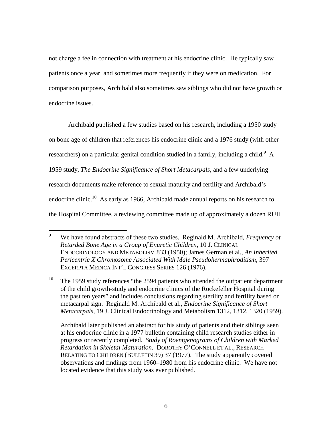not charge a fee in connection with treatment at his endocrine clinic. He typically saw patients once a year, and sometimes more frequently if they were on medication. For comparison purposes, Archibald also sometimes saw siblings who did not have growth or endocrine issues.

Archibald published a few studies based on his research, including a 1950 study on bone age of children that references his endocrine clinic and a 1976 study (with other researchers) on a particular genital condition studied in a family, including a child.<sup>9</sup> A 1959 study, *The Endocrine Significance of Short Metacarpals*, and a few underlying research documents make reference to sexual maturity and fertility and Archibald's endocrine clinic.<sup>10</sup> As early as 1966, Archibald made annual reports on his research to the Hospital Committee, a reviewing committee made up of approximately a dozen RUH

<sup>9</sup> We have found abstracts of these two studies. Reginald M. Archibald, *Frequency of Retarded Bone Age in a Group of Enuretic Children*, 10 J. CLINICAL ENDOCRINOLOGY AND METABOLISM 833 (1950); James German et al., *An Inherited Pericentric X Chromosome Associated With Male Pseudohermaphroditism*, 397 EXCERPTA MEDICA INT'L CONGRESS SERIES 126 (1976).

<sup>&</sup>lt;sup>10</sup> The 1959 study references "the 2594 patients who attended the outpatient department of the child growth-study and endocrine clinics of the Rockefeller Hospital during the past ten years" and includes conclusions regarding sterility and fertility based on metacarpal sign. Reginald M. Archibald et al., *Endocrine Significance of Short Metacarpals*, 19 J. Clinical Endocrinology and Metabolism 1312, 1312, 1320 (1959).

Archibald later published an abstract for his study of patients and their siblings seen at his endocrine clinic in a 1977 bulletin containing child research studies either in progress or recently completed. *Study of Roentgenograms of Children with Marked Retardation in Skeletal Maturation*. DOROTHY O'CONNELL ET AL., RESEARCH RELATING TO CHILDREN (BULLETIN 39) 37 (1977). The study apparently covered observations and findings from 1960–1980 from his endocrine clinic. We have not located evidence that this study was ever published.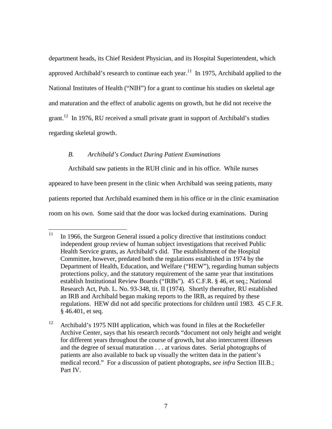department heads, its Chief Resident Physician, and its Hospital Superintendent, which approved Archibald's research to continue each year.<sup>11</sup> In 1975, Archibald applied to the National Institutes of Health ("NIH") for a grant to continue his studies on skeletal age and maturation and the effect of anabolic agents on growth, but he did not receive the grant.<sup>12</sup> In 1976, RU received a small private grant in support of Archibald's studies regarding skeletal growth.

## *B. Archibald's Conduct During Patient Examinations*

Archibald saw patients in the RUH clinic and in his office. While nurses appeared to have been present in the clinic when Archibald was seeing patients, many patients reported that Archibald examined them in his office or in the clinic examination

room on his own. Some said that the door was locked during examinations. During

 $11$  In 1966, the Surgeon General issued a policy directive that institutions conduct independent group review of human subject investigations that received Public Health Service grants, as Archibald's did. The establishment of the Hospital Committee, however, predated both the regulations established in 1974 by the Department of Health, Education, and Welfare ("HEW"), regarding human subjects protections policy, and the statutory requirement of the same year that institutions establish Institutional Review Boards ("IRBs"). 45 C.F.R. § 46, et seq.; National Research Act, Pub. L. No. 93-348, tit. II (1974). Shortly thereafter, RU established an IRB and Archibald began making reports to the IRB, as required by these regulations. HEW did not add specific protections for children until 1983. 45 C.F.R. § 46.401, et seq.

<sup>&</sup>lt;sup>12</sup> Archibald's 1975 NIH application, which was found in files at the Rockefeller Archive Center, says that his research records "document not only height and weight for different years throughout the course of growth, but also intercurrent illnesses and the degree of sexual maturation . . . at various dates. Serial photographs of patients are also available to back up visually the written data in the patient's medical record." For a discussion of patient photographs, *see infra* Section III.B.; Part IV.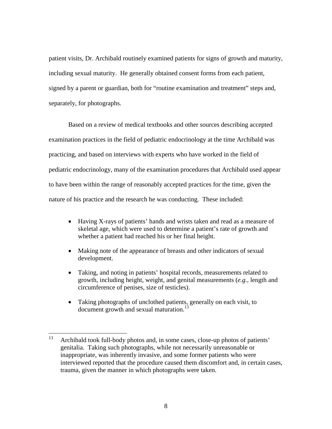patient visits, Dr. Archibald routinely examined patients for signs of growth and maturity, including sexual maturity. He generally obtained consent forms from each patient, signed by a parent or guardian, both for "routine examination and treatment" steps and, separately, for photographs.

Based on a review of medical textbooks and other sources describing accepted examination practices in the field of pediatric endocrinology at the time Archibald was practicing, and based on interviews with experts who have worked in the field of pediatric endocrinology, many of the examination procedures that Archibald used appear to have been within the range of reasonably accepted practices for the time, given the nature of his practice and the research he was conducting. These included:

- Having X-rays of patients' hands and wrists taken and read as a measure of skeletal age, which were used to determine a patient's rate of growth and whether a patient had reached his or her final height.
- Making note of the appearance of breasts and other indicators of sexual development.
- Taking, and noting in patients' hospital records, measurements related to growth, including height, weight, and genital measurements (*e.g.,* length and circumference of penises, size of testicles).
- Taking photographs of unclothed patients, generally on each visit, to document growth and sexual maturation.<sup>13</sup>

<sup>&</sup>lt;sup>13</sup> Archibald took full-body photos and, in some cases, close-up photos of patients' genitalia. Taking such photographs, while not necessarily unreasonable or inappropriate, was inherently invasive, and some former patients who were interviewed reported that the procedure caused them discomfort and, in certain cases, trauma, given the manner in which photographs were taken.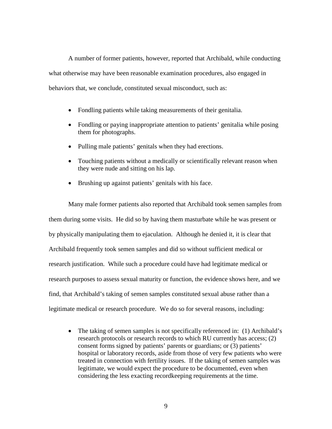A number of former patients, however, reported that Archibald, while conducting what otherwise may have been reasonable examination procedures, also engaged in behaviors that, we conclude, constituted sexual misconduct, such as:

- Fondling patients while taking measurements of their genitalia.
- Fondling or paying inappropriate attention to patients' genitalia while posing them for photographs.
- Pulling male patients' genitals when they had erections.
- Touching patients without a medically or scientifically relevant reason when they were nude and sitting on his lap.
- Brushing up against patients' genitals with his face.

Many male former patients also reported that Archibald took semen samples from them during some visits. He did so by having them masturbate while he was present or by physically manipulating them to ejaculation. Although he denied it, it is clear that Archibald frequently took semen samples and did so without sufficient medical or research justification. While such a procedure could have had legitimate medical or research purposes to assess sexual maturity or function, the evidence shows here, and we find, that Archibald's taking of semen samples constituted sexual abuse rather than a legitimate medical or research procedure. We do so for several reasons, including:

• The taking of semen samples is not specifically referenced in: (1) Archibald's research protocols or research records to which RU currently has access; (2) consent forms signed by patients' parents or guardians; or (3) patients' hospital or laboratory records, aside from those of very few patients who were treated in connection with fertility issues. If the taking of semen samples was legitimate, we would expect the procedure to be documented, even when considering the less exacting recordkeeping requirements at the time.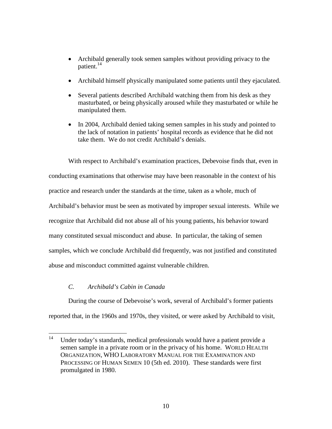- Archibald generally took semen samples without providing privacy to the patient.<sup>14</sup>
- Archibald himself physically manipulated some patients until they ejaculated.
- Several patients described Archibald watching them from his desk as they masturbated, or being physically aroused while they masturbated or while he manipulated them.
- In 2004, Archibald denied taking semen samples in his study and pointed to the lack of notation in patients' hospital records as evidence that he did not take them. We do not credit Archibald's denials.

With respect to Archibald's examination practices, Debevoise finds that, even in conducting examinations that otherwise may have been reasonable in the context of his practice and research under the standards at the time, taken as a whole, much of Archibald's behavior must be seen as motivated by improper sexual interests. While we recognize that Archibald did not abuse all of his young patients, his behavior toward many constituted sexual misconduct and abuse. In particular, the taking of semen samples, which we conclude Archibald did frequently, was not justified and constituted abuse and misconduct committed against vulnerable children.

# *C. Archibald's Cabin in Canada*

During the course of Debevoise's work, several of Archibald's former patients reported that, in the 1960s and 1970s, they visited, or were asked by Archibald to visit,

<sup>&</sup>lt;sup>14</sup> Under today's standards, medical professionals would have a patient provide a semen sample in a private room or in the privacy of his home. WORLD HEALTH ORGANIZATION, WHO LABORATORY MANUAL FOR THE EXAMINATION AND PROCESSING OF HUMAN SEMEN 10 (5th ed. 2010). These standards were first promulgated in 1980.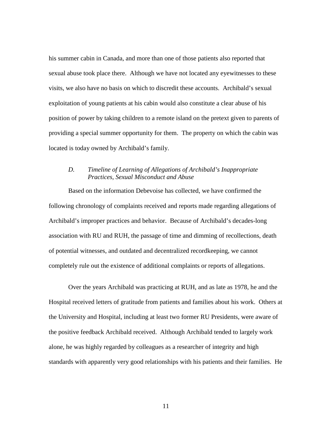his summer cabin in Canada, and more than one of those patients also reported that sexual abuse took place there. Although we have not located any eyewitnesses to these visits, we also have no basis on which to discredit these accounts. Archibald's sexual exploitation of young patients at his cabin would also constitute a clear abuse of his position of power by taking children to a remote island on the pretext given to parents of providing a special summer opportunity for them. The property on which the cabin was located is today owned by Archibald's family.

# *D. Timeline of Learning of Allegations of Archibald's Inappropriate Practices, Sexual Misconduct and Abuse*

Based on the information Debevoise has collected, we have confirmed the following chronology of complaints received and reports made regarding allegations of Archibald's improper practices and behavior. Because of Archibald's decades-long association with RU and RUH, the passage of time and dimming of recollections, death of potential witnesses, and outdated and decentralized recordkeeping, we cannot completely rule out the existence of additional complaints or reports of allegations.

Over the years Archibald was practicing at RUH, and as late as 1978, he and the Hospital received letters of gratitude from patients and families about his work. Others at the University and Hospital, including at least two former RU Presidents, were aware of the positive feedback Archibald received. Although Archibald tended to largely work alone, he was highly regarded by colleagues as a researcher of integrity and high standards with apparently very good relationships with his patients and their families. He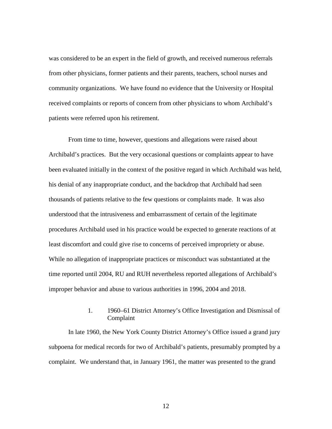was considered to be an expert in the field of growth, and received numerous referrals from other physicians, former patients and their parents, teachers, school nurses and community organizations. We have found no evidence that the University or Hospital received complaints or reports of concern from other physicians to whom Archibald's patients were referred upon his retirement.

From time to time, however, questions and allegations were raised about Archibald's practices. But the very occasional questions or complaints appear to have been evaluated initially in the context of the positive regard in which Archibald was held, his denial of any inappropriate conduct, and the backdrop that Archibald had seen thousands of patients relative to the few questions or complaints made. It was also understood that the intrusiveness and embarrassment of certain of the legitimate procedures Archibald used in his practice would be expected to generate reactions of at least discomfort and could give rise to concerns of perceived impropriety or abuse. While no allegation of inappropriate practices or misconduct was substantiated at the time reported until 2004, RU and RUH nevertheless reported allegations of Archibald's improper behavior and abuse to various authorities in 1996, 2004 and 2018.

# 1. 1960–61 District Attorney's Office Investigation and Dismissal of Complaint

In late 1960, the New York County District Attorney's Office issued a grand jury subpoena for medical records for two of Archibald's patients, presumably prompted by a complaint. We understand that, in January 1961, the matter was presented to the grand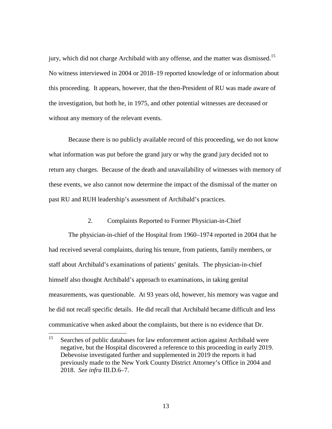jury, which did not charge Archibald with any offense, and the matter was dismissed.<sup>15</sup> No witness interviewed in 2004 or 2018–19 reported knowledge of or information about this proceeding. It appears, however, that the then-President of RU was made aware of the investigation, but both he, in 1975, and other potential witnesses are deceased or without any memory of the relevant events.

Because there is no publicly available record of this proceeding, we do not know what information was put before the grand jury or why the grand jury decided not to return any charges. Because of the death and unavailability of witnesses with memory of these events, we also cannot now determine the impact of the dismissal of the matter on past RU and RUH leadership's assessment of Archibald's practices.

2. Complaints Reported to Former Physician-in-Chief

The physician-in-chief of the Hospital from 1960–1974 reported in 2004 that he had received several complaints, during his tenure, from patients, family members, or staff about Archibald's examinations of patients' genitals. The physician-in-chief himself also thought Archibald's approach to examinations, in taking genital measurements, was questionable. At 93 years old, however, his memory was vague and he did not recall specific details. He did recall that Archibald became difficult and less communicative when asked about the complaints, but there is no evidence that Dr.

<sup>&</sup>lt;sup>15</sup> Searches of public databases for law enforcement action against Archibald were negative, but the Hospital discovered a reference to this proceeding in early 2019. Debevoise investigated further and supplemented in 2019 the reports it had previously made to the New York County District Attorney's Office in 2004 and 2018. *See infra* III.D.6–7.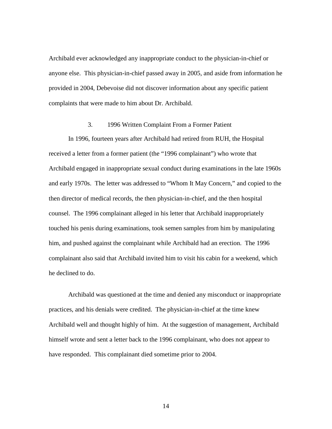Archibald ever acknowledged any inappropriate conduct to the physician-in-chief or anyone else. This physician-in-chief passed away in 2005, and aside from information he provided in 2004, Debevoise did not discover information about any specific patient complaints that were made to him about Dr. Archibald.

#### 3. 1996 Written Complaint From a Former Patient

In 1996, fourteen years after Archibald had retired from RUH, the Hospital received a letter from a former patient (the "1996 complainant") who wrote that Archibald engaged in inappropriate sexual conduct during examinations in the late 1960s and early 1970s. The letter was addressed to "Whom It May Concern," and copied to the then director of medical records, the then physician-in-chief, and the then hospital counsel. The 1996 complainant alleged in his letter that Archibald inappropriately touched his penis during examinations, took semen samples from him by manipulating him, and pushed against the complainant while Archibald had an erection. The 1996 complainant also said that Archibald invited him to visit his cabin for a weekend, which he declined to do.

Archibald was questioned at the time and denied any misconduct or inappropriate practices, and his denials were credited. The physician-in-chief at the time knew Archibald well and thought highly of him. At the suggestion of management, Archibald himself wrote and sent a letter back to the 1996 complainant, who does not appear to have responded. This complainant died sometime prior to 2004.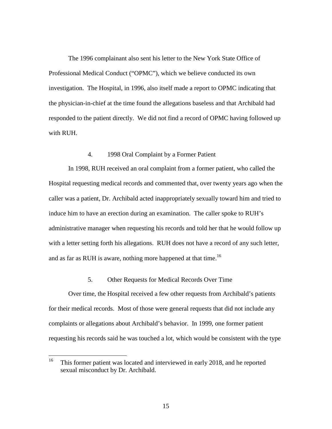The 1996 complainant also sent his letter to the New York State Office of Professional Medical Conduct ("OPMC"), which we believe conducted its own investigation. The Hospital, in 1996, also itself made a report to OPMC indicating that the physician-in-chief at the time found the allegations baseless and that Archibald had responded to the patient directly. We did not find a record of OPMC having followed up with RUH.

## 4. 1998 Oral Complaint by a Former Patient

In 1998, RUH received an oral complaint from a former patient, who called the Hospital requesting medical records and commented that, over twenty years ago when the caller was a patient, Dr. Archibald acted inappropriately sexually toward him and tried to induce him to have an erection during an examination. The caller spoke to RUH's administrative manager when requesting his records and told her that he would follow up with a letter setting forth his allegations. RUH does not have a record of any such letter, and as far as RUH is aware, nothing more happened at that time.<sup>16</sup>

# 5. Other Requests for Medical Records Over Time

Over time, the Hospital received a few other requests from Archibald's patients for their medical records. Most of those were general requests that did not include any complaints or allegations about Archibald's behavior. In 1999, one former patient requesting his records said he was touched a lot, which would be consistent with the type

<sup>&</sup>lt;sup>16</sup> This former patient was located and interviewed in early 2018, and he reported sexual misconduct by Dr. Archibald.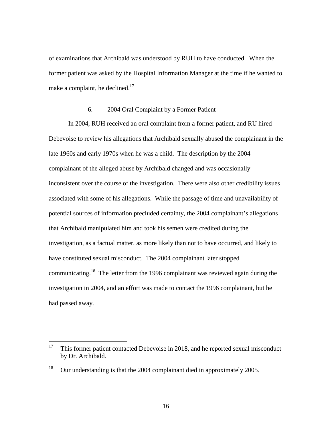of examinations that Archibald was understood by RUH to have conducted. When the former patient was asked by the Hospital Information Manager at the time if he wanted to make a complaint, he declined. $17$ 

## 6. 2004 Oral Complaint by a Former Patient

In 2004, RUH received an oral complaint from a former patient, and RU hired Debevoise to review his allegations that Archibald sexually abused the complainant in the late 1960s and early 1970s when he was a child. The description by the 2004 complainant of the alleged abuse by Archibald changed and was occasionally inconsistent over the course of the investigation. There were also other credibility issues associated with some of his allegations. While the passage of time and unavailability of potential sources of information precluded certainty, the 2004 complainant's allegations that Archibald manipulated him and took his semen were credited during the investigation, as a factual matter, as more likely than not to have occurred, and likely to have constituted sexual misconduct. The 2004 complainant later stopped communicating.<sup>18</sup> The letter from the 1996 complainant was reviewed again during the investigation in 2004, and an effort was made to contact the 1996 complainant, but he had passed away.

<sup>&</sup>lt;sup>17</sup> This former patient contacted Debevoise in 2018, and he reported sexual misconduct by Dr. Archibald.

<sup>&</sup>lt;sup>18</sup> Our understanding is that the 2004 complainant died in approximately 2005.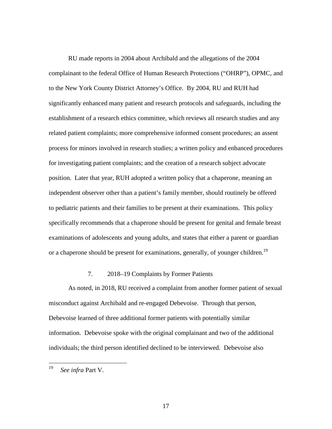RU made reports in 2004 about Archibald and the allegations of the 2004 complainant to the federal Office of Human Research Protections ("OHRP"), OPMC, and to the New York County District Attorney's Office. By 2004, RU and RUH had significantly enhanced many patient and research protocols and safeguards, including the establishment of a research ethics committee, which reviews all research studies and any related patient complaints; more comprehensive informed consent procedures; an assent process for minors involved in research studies; a written policy and enhanced procedures for investigating patient complaints; and the creation of a research subject advocate position. Later that year, RUH adopted a written policy that a chaperone, meaning an independent observer other than a patient's family member, should routinely be offered to pediatric patients and their families to be present at their examinations. This policy specifically recommends that a chaperone should be present for genital and female breast examinations of adolescents and young adults, and states that either a parent or guardian or a chaperone should be present for examinations, generally, of younger children.<sup>19</sup>

# 7. 2018–19 Complaints by Former Patients

As noted, in 2018, RU received a complaint from another former patient of sexual misconduct against Archibald and re-engaged Debevoise. Through that person, Debevoise learned of three additional former patients with potentially similar information. Debevoise spoke with the original complainant and two of the additional individuals; the third person identified declined to be interviewed. Debevoise also

<sup>19</sup> *See infra* Part V.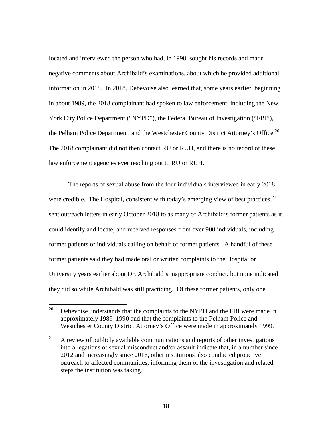located and interviewed the person who had, in 1998, sought his records and made negative comments about Archibald's examinations, about which he provided additional information in 2018. In 2018, Debevoise also learned that, some years earlier, beginning in about 1989, the 2018 complainant had spoken to law enforcement, including the New York City Police Department ("NYPD"), the Federal Bureau of Investigation ("FBI"), the Pelham Police Department, and the Westchester County District Attorney's Office.<sup>20</sup> The 2018 complainant did not then contact RU or RUH, and there is no record of these law enforcement agencies ever reaching out to RU or RUH.

The reports of sexual abuse from the four individuals interviewed in early 2018 were credible. The Hospital, consistent with today's emerging view of best practices,  $2<sup>1</sup>$ sent outreach letters in early October 2018 to as many of Archibald's former patients as it could identify and locate, and received responses from over 900 individuals, including former patients or individuals calling on behalf of former patients. A handful of these former patients said they had made oral or written complaints to the Hospital or University years earlier about Dr. Archibald's inappropriate conduct, but none indicated they did so while Archibald was still practicing. Of these former patients, only one

<sup>&</sup>lt;sup>20</sup> Debevoise understands that the complaints to the NYPD and the FBI were made in approximately 1989–1990 and that the complaints to the Pelham Police and Westchester County District Attorney's Office were made in approximately 1999.

 $21$  A review of publicly available communications and reports of other investigations into allegations of sexual misconduct and/or assault indicate that, in a number since 2012 and increasingly since 2016, other institutions also conducted proactive outreach to affected communities, informing them of the investigation and related steps the institution was taking.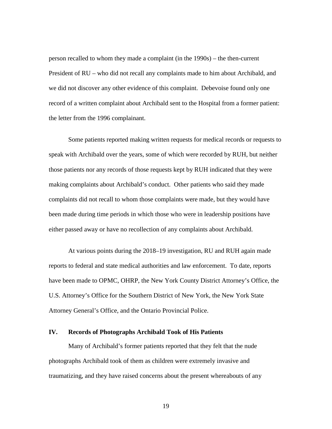person recalled to whom they made a complaint (in the 1990s) – the then-current President of RU – who did not recall any complaints made to him about Archibald, and we did not discover any other evidence of this complaint. Debevoise found only one record of a written complaint about Archibald sent to the Hospital from a former patient: the letter from the 1996 complainant.

Some patients reported making written requests for medical records or requests to speak with Archibald over the years, some of which were recorded by RUH, but neither those patients nor any records of those requests kept by RUH indicated that they were making complaints about Archibald's conduct. Other patients who said they made complaints did not recall to whom those complaints were made, but they would have been made during time periods in which those who were in leadership positions have either passed away or have no recollection of any complaints about Archibald.

At various points during the 2018–19 investigation, RU and RUH again made reports to federal and state medical authorities and law enforcement. To date, reports have been made to OPMC, OHRP, the New York County District Attorney's Office, the U.S. Attorney's Office for the Southern District of New York, the New York State Attorney General's Office, and the Ontario Provincial Police.

## **IV. Records of Photographs Archibald Took of His Patients**

Many of Archibald's former patients reported that they felt that the nude photographs Archibald took of them as children were extremely invasive and traumatizing, and they have raised concerns about the present whereabouts of any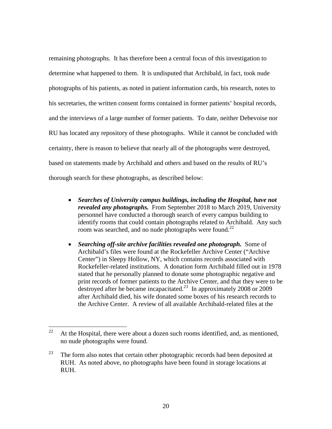remaining photographs. It has therefore been a central focus of this investigation to determine what happened to them. It is undisputed that Archibald, in fact, took nude photographs of his patients, as noted in patient information cards, his research, notes to his secretaries, the written consent forms contained in former patients' hospital records, and the interviews of a large number of former patients. To date, neither Debevoise nor RU has located any repository of these photographs. While it cannot be concluded with certainty, there is reason to believe that nearly all of the photographs were destroyed, based on statements made by Archibald and others and based on the results of RU's thorough search for these photographs, as described below:

- *Searches of University campus buildings, including the Hospital, have not revealed any photographs.* From September 2018 to March 2019, University personnel have conducted a thorough search of every campus building to identify rooms that could contain photographs related to Archibald. Any such room was searched, and no nude photographs were found.<sup>22</sup>
- *Searching off-site archive facilities revealed one photograph.* Some of Archibald's files were found at the Rockefeller Archive Center ("Archive Center") in Sleepy Hollow, NY, which contains records associated with Rockefeller-related institutions. A donation form Archibald filled out in 1978 stated that he personally planned to donate some photographic negative and print records of former patients to the Archive Center, and that they were to be destroyed after he became incapacitated.<sup>23</sup> In approximately 2008 or 2009 after Archibald died, his wife donated some boxes of his research records to the Archive Center. A review of all available Archibald-related files at the

<sup>&</sup>lt;sup>22</sup> At the Hospital, there were about a dozen such rooms identified, and, as mentioned, no nude photographs were found.

 $23$  The form also notes that certain other photographic records had been deposited at RUH. As noted above, no photographs have been found in storage locations at RUH.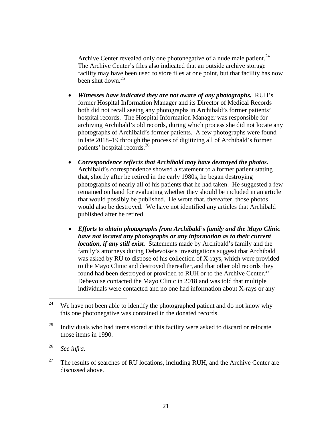Archive Center revealed only one photonegative of a nude male patient.<sup>24</sup> The Archive Center's files also indicated that an outside archive storage facility may have been used to store files at one point, but that facility has now been shut down.<sup>25</sup>

- *Witnesses have indicated they are not aware of any photographs.* RUH's former Hospital Information Manager and its Director of Medical Records both did not recall seeing any photographs in Archibald's former patients' hospital records. The Hospital Information Manager was responsible for archiving Archibald's old records, during which process she did not locate any photographs of Archibald's former patients. A few photographs were found in late 2018–19 through the process of digitizing all of Archibald's former patients' hospital records.<sup>26</sup>
- *Correspondence reflects that Archibald may have destroyed the photos.* Archibald's correspondence showed a statement to a former patient stating that, shortly after he retired in the early 1980s, he began destroying photographs of nearly all of his patients that he had taken. He suggested a few remained on hand for evaluating whether they should be included in an article that would possibly be published. He wrote that, thereafter, those photos would also be destroyed. We have not identified any articles that Archibald published after he retired.
- *Efforts to obtain photographs from Archibald's family and the Mayo Clinic have not located any photographs or any information as to their current location, if any still exist.* Statements made by Archibald's family and the family's attorneys during Debevoise's investigations suggest that Archibald was asked by RU to dispose of his collection of X-rays, which were provided to the Mayo Clinic and destroyed thereafter, and that other old records they found had been destroyed or provided to RUH or to the Archive Center.<sup>27</sup> Debevoise contacted the Mayo Clinic in 2018 and was told that multiple individuals were contacted and no one had information about X-rays or any

<sup>&</sup>lt;sup>24</sup> We have not been able to identify the photographed patient and do not know why this one photonegative was contained in the donated records.

 $25$  Individuals who had items stored at this facility were asked to discard or relocate those items in 1990.

<sup>26</sup> *See infra*.

<sup>&</sup>lt;sup>27</sup> The results of searches of RU locations, including RUH, and the Archive Center are discussed above.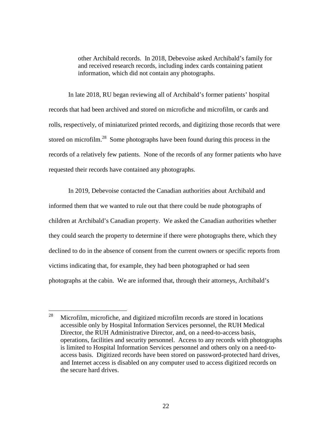other Archibald records. In 2018, Debevoise asked Archibald's family for and received research records, including index cards containing patient information, which did not contain any photographs.

In late 2018, RU began reviewing all of Archibald's former patients' hospital records that had been archived and stored on microfiche and microfilm, or cards and rolls, respectively, of miniaturized printed records, and digitizing those records that were stored on microfilm.<sup>28</sup> Some photographs have been found during this process in the records of a relatively few patients. None of the records of any former patients who have requested their records have contained any photographs.

In 2019, Debevoise contacted the Canadian authorities about Archibald and informed them that we wanted to rule out that there could be nude photographs of children at Archibald's Canadian property. We asked the Canadian authorities whether they could search the property to determine if there were photographs there, which they declined to do in the absence of consent from the current owners or specific reports from victims indicating that, for example, they had been photographed or had seen photographs at the cabin. We are informed that, through their attorneys, Archibald's

 $28$  Microfilm, microfiche, and digitized microfilm records are stored in locations accessible only by Hospital Information Services personnel, the RUH Medical Director, the RUH Administrative Director, and, on a need-to-access basis, operations, facilities and security personnel. Access to any records with photographs is limited to Hospital Information Services personnel and others only on a need-toaccess basis. Digitized records have been stored on password-protected hard drives, and Internet access is disabled on any computer used to access digitized records on the secure hard drives.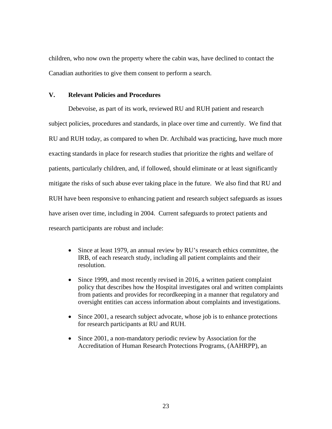children, who now own the property where the cabin was, have declined to contact the Canadian authorities to give them consent to perform a search.

## **V. Relevant Policies and Procedures**

Debevoise, as part of its work, reviewed RU and RUH patient and research subject policies, procedures and standards, in place over time and currently. We find that RU and RUH today, as compared to when Dr. Archibald was practicing, have much more exacting standards in place for research studies that prioritize the rights and welfare of patients, particularly children, and, if followed, should eliminate or at least significantly mitigate the risks of such abuse ever taking place in the future. We also find that RU and RUH have been responsive to enhancing patient and research subject safeguards as issues have arisen over time, including in 2004. Current safeguards to protect patients and research participants are robust and include:

- Since at least 1979, an annual review by RU's research ethics committee, the IRB, of each research study, including all patient complaints and their resolution.
- Since 1999, and most recently revised in 2016, a written patient complaint policy that describes how the Hospital investigates oral and written complaints from patients and provides for recordkeeping in a manner that regulatory and oversight entities can access information about complaints and investigations.
- Since 2001, a research subject advocate, whose job is to enhance protections for research participants at RU and RUH.
- Since 2001, a non-mandatory periodic review by Association for the Accreditation of Human Research Protections Programs, (AAHRPP), an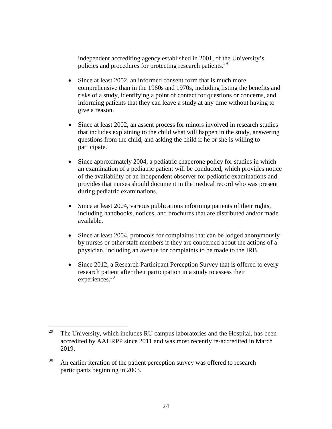independent accrediting agency established in 2001, of the University's policies and procedures for protecting research patients.<sup>29</sup>

- Since at least 2002, an informed consent form that is much more comprehensive than in the 1960s and 1970s, including listing the benefits and risks of a study, identifying a point of contact for questions or concerns, and informing patients that they can leave a study at any time without having to give a reason.
- Since at least 2002, an assent process for minors involved in research studies that includes explaining to the child what will happen in the study, answering questions from the child, and asking the child if he or she is willing to participate.
- Since approximately 2004, a pediatric chaperone policy for studies in which an examination of a pediatric patient will be conducted, which provides notice of the availability of an independent observer for pediatric examinations and provides that nurses should document in the medical record who was present during pediatric examinations.
- Since at least 2004, various publications informing patients of their rights, including handbooks, notices, and brochures that are distributed and/or made available.
- Since at least 2004, protocols for complaints that can be lodged anonymously by nurses or other staff members if they are concerned about the actions of a physician, including an avenue for complaints to be made to the IRB.
- Since 2012, a Research Participant Perception Survey that is offered to every research patient after their participation in a study to assess their experiences.<sup>30</sup>

<sup>&</sup>lt;sup>29</sup> The University, which includes RU campus laboratories and the Hospital, has been accredited by AAHRPP since 2011 and was most recently re-accredited in March 2019.

 $30$  An earlier iteration of the patient perception survey was offered to research participants beginning in 2003.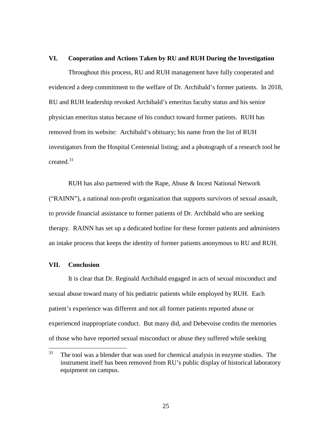#### **VI. Cooperation and Actions Taken by RU and RUH During the Investigation**

Throughout this process, RU and RUH management have fully cooperated and evidenced a deep commitment to the welfare of Dr. Archibald's former patients. In 2018, RU and RUH leadership revoked Archibald's emeritus faculty status and his senior physician emeritus status because of his conduct toward former patients. RUH has removed from its website: Archibald's obituary; his name from the list of RUH investigators from the Hospital Centennial listing; and a photograph of a research tool he created. $31$ 

RUH has also partnered with the Rape, Abuse & Incest National Network ("RAINN"), a national non-profit organization that supports survivors of sexual assault, to provide financial assistance to former patients of Dr. Archibald who are seeking therapy. RAINN has set up a dedicated hotline for these former patients and administers an intake process that keeps the identity of former patients anonymous to RU and RUH.

### **VII. Conclusion**

It is clear that Dr. Reginald Archibald engaged in acts of sexual misconduct and sexual abuse toward many of his pediatric patients while employed by RUH. Each patient's experience was different and not all former patients reported abuse or experienced inappropriate conduct. But many did, and Debevoise credits the memories of those who have reported sexual misconduct or abuse they suffered while seeking

 $31$  The tool was a blender that was used for chemical analysis in enzyme studies. The instrument itself has been removed from RU's public display of historical laboratory equipment on campus.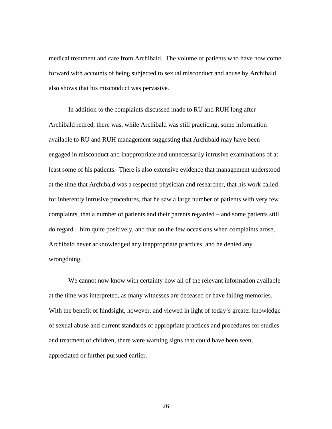medical treatment and care from Archibald. The volume of patients who have now come forward with accounts of being subjected to sexual misconduct and abuse by Archibald also shows that his misconduct was pervasive.

In addition to the complaints discussed made to RU and RUH long after Archibald retired, there was, while Archibald was still practicing, some information available to RU and RUH management suggesting that Archibald may have been engaged in misconduct and inappropriate and unnecessarily intrusive examinations of at least some of his patients. There is also extensive evidence that management understood at the time that Archibald was a respected physician and researcher, that his work called for inherently intrusive procedures, that he saw a large number of patients with very few complaints, that a number of patients and their parents regarded – and some patients still do regard – him quite positively, and that on the few occasions when complaints arose, Archibald never acknowledged any inappropriate practices, and he denied any wrongdoing.

We cannot now know with certainty how all of the relevant information available at the time was interpreted, as many witnesses are deceased or have failing memories. With the benefit of hindsight, however, and viewed in light of today's greater knowledge of sexual abuse and current standards of appropriate practices and procedures for studies and treatment of children, there were warning signs that could have been seen, appreciated or further pursued earlier.